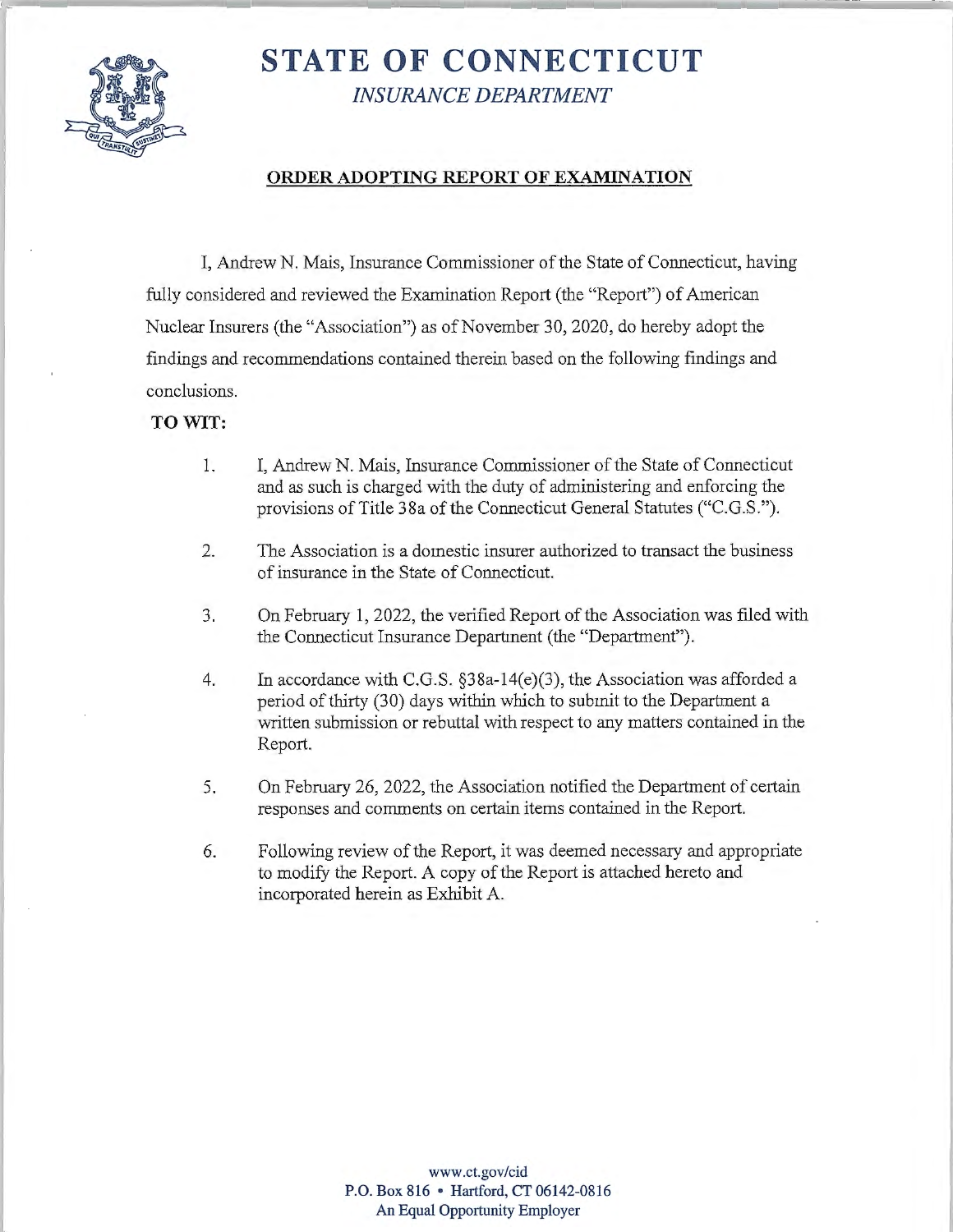

# **STATE OF CONNECTICUT**  *INSURANCE DEPARTMENT*

# **ORDER ADOPTING REPORT OF EXAMINATION**

I, Andrew N. Mais, Insurance Commissioner ofthe State of Connecticut, having fully considered and reviewed the Examination Report (the "Report") of American Nuclear Insurers (the "Association") as of November 30, 2020, do hereby adopt the findings and recommendations contained therein based on the following findings and conclusions.

# **TO WIT:**

- 1. I, Andrew N. Mais, Insurance Commissioner of the State of Connecticut and as such is charged with the duty of administering and enforcing the provisions of Title 38a of the Connecticut General Statutes ("C.G.S.").
- 2. The Association is a domestic insurer authorized to transact the business of insurance in the State of Connecticut.
- 3. On February 1, 2022, the verified Report of the Association was filed with the Connecticut Insurance Department (the "Department").
- 4. In accordance with C.G.S. §38a-14(e)(3), the Association was afforded a period of thirty (30) days within which to submit to the Department a written submission or rebuttal with respect to any matters contained in the Report.
- 5. On February 26, 2022, the Association notified the Department of certain responses and comments on certain items contained in the Report.
- 6. Following review of the Report, it was deemed necessary and appropriate to modify the Report. A copy of the Report is attached hereto and incorporated herein as Exhibit A.

**<www.ct.gov/cid> P.O. Box 816** • **Hartford, CT 06142-0816 An Equal Opportunity Employer**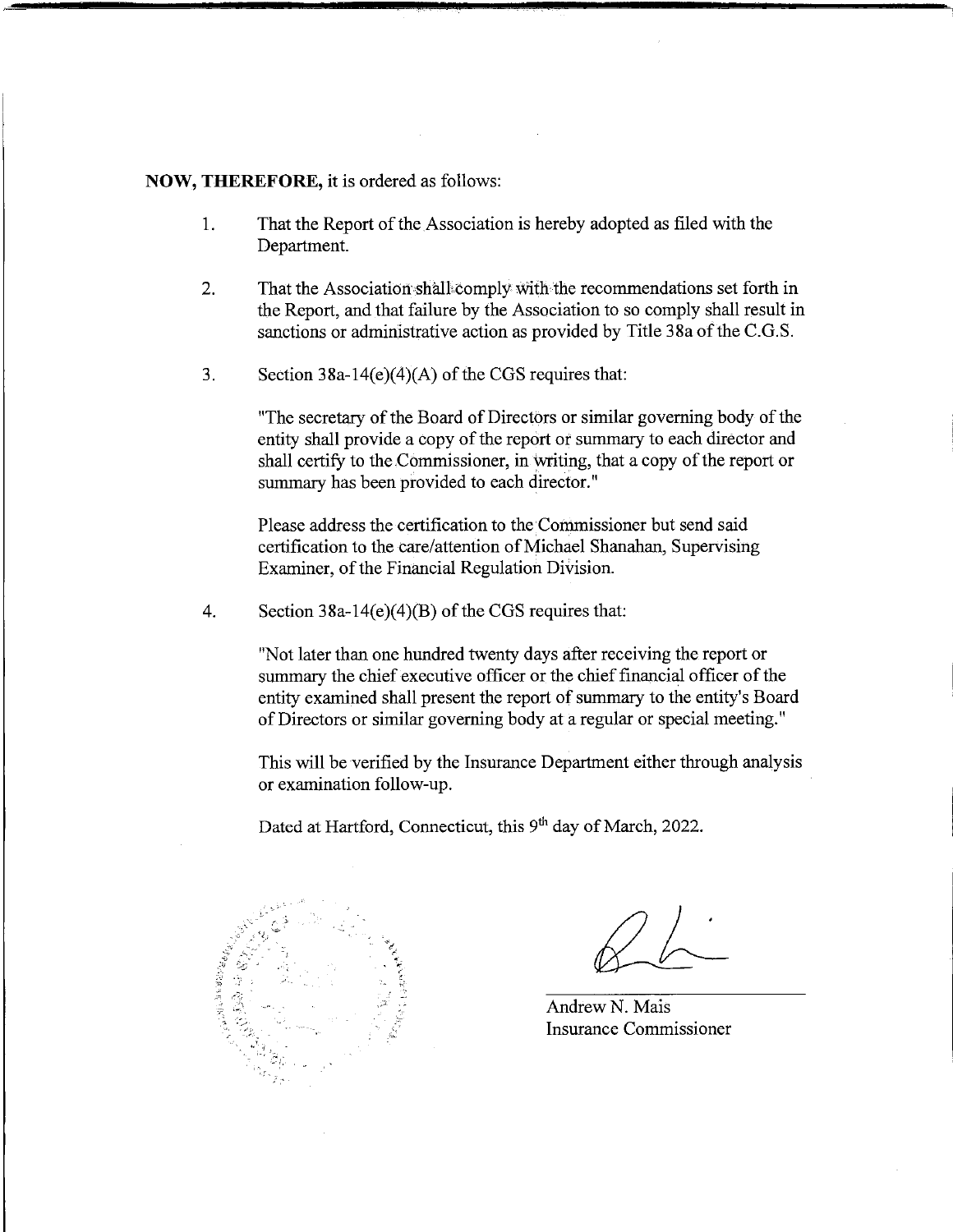#### **NOW, THEREFORE,** it is ordered as follows:

- 1. That the Report of the Association is hereby adopted as filed with the Department.
- 2. That the Association shall comply with the recommendations set forth in the Report, and that failure by the Association to so comply shall result in sanctions or administrative action as provided by Title 38a of the C.G.S.
- 3. Section 38a-14(e)(4)(A) of the CGS requires that:

"The secretary of the Board of Directors or similar governing body of the entity shall provide a copy of the report or summary to each director and shall certify to the Commissioner, in writing, that a copy of the report or summary has been provided to each director."

Please address the certification to the Commissioner but send said certification to the care/attention of Michael Shanahan, Supervising Examiner, of the Financial Regulation Division.

4. Section 38a-14(e)(4)(B) of the CGS requires that:

"Not later than one hundred twenty days after receiving the report or summary the chief executive officer or the chief financial officer of the entity examined shall present the report of summary to the entity's Board of Directors or similar governing body at a regular or special meeting."

This will be verified by the Insurance Department either through analysis or examination follow-up.

Dated at Hartford, Connecticut, this 9<sup>th</sup> day of March, 2022.



AndrewN. Mais Insurance Commissioner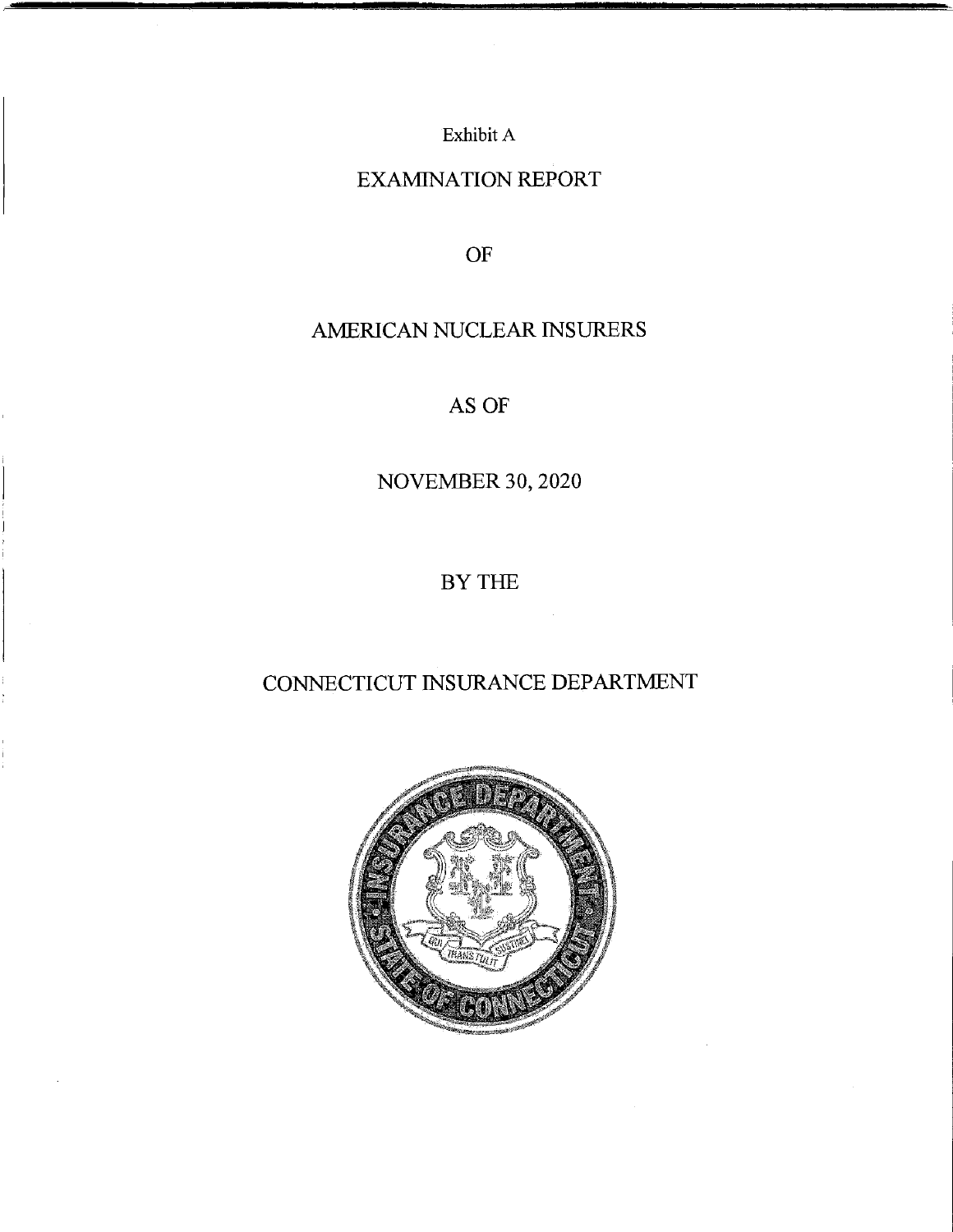Exhibit A

# EXAMINATION REPORT

OF

# AMERICAN NUCLEAR INSURERS

AS OF

NOVEMBER 30, 2020

BYTHE

# CONNECTICUT INSURANCE DEPARTMENT

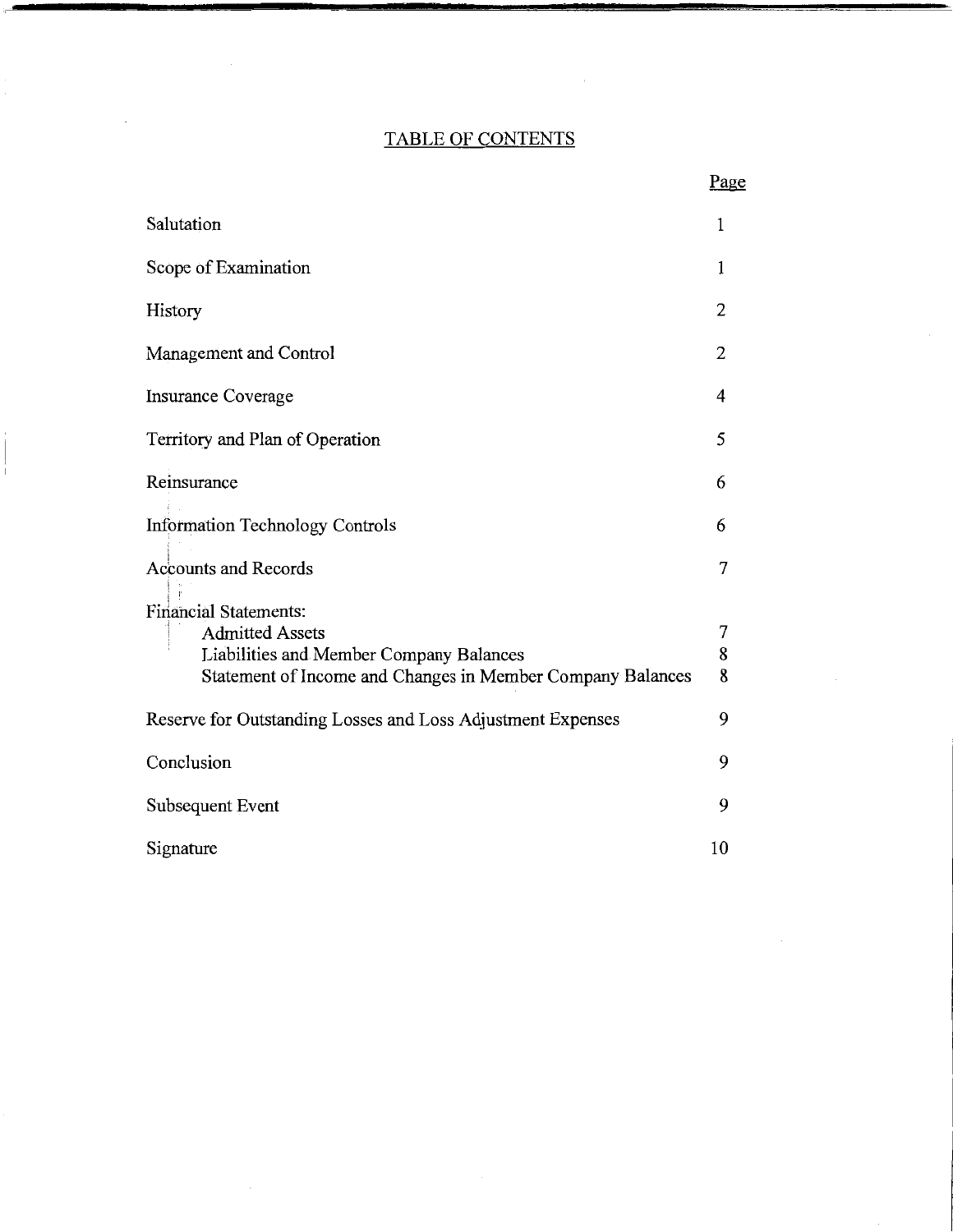# TABLE OF CONTENTS

 $\cdot$ 

 $\overline{1}$ 

 $\sim$ 

|                                                             | Page |
|-------------------------------------------------------------|------|
| Salutation                                                  | 1    |
| Scope of Examination                                        | 1    |
| History                                                     | 2    |
| Management and Control                                      | 2    |
| <b>Insurance Coverage</b>                                   | 4    |
| Territory and Plan of Operation                             | 5    |
| Reinsurance                                                 | 6    |
| <b>Information Technology Controls</b>                      | 6    |
| <b>Accounts and Records</b>                                 | 7    |
| <b>Financial Statements:</b>                                |      |
| <b>Admitted Assets</b>                                      | 7    |
| Liabilities and Member Company Balances                     | 8    |
| Statement of Income and Changes in Member Company Balances  | 8    |
| Reserve for Outstanding Losses and Loss Adjustment Expenses | 9    |
| Conclusion                                                  | 9    |
| Subsequent Event                                            | 9    |
| Signature                                                   | 10   |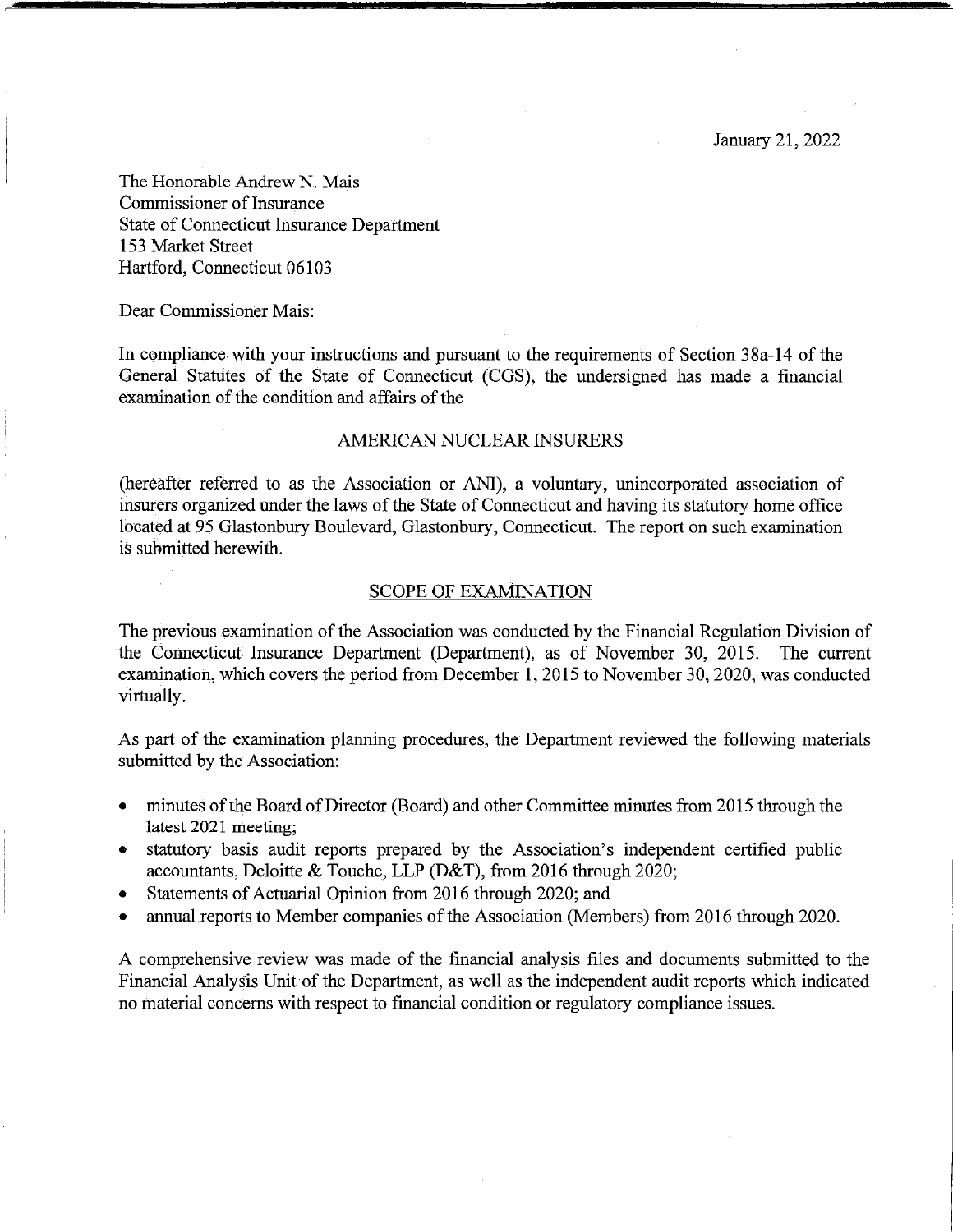The Honorable Andrew N. Mais Commissioner of Insurance State of Connecticut Insurance Department 153 Market Street Hartford, Connecticut 06103

Dear Commissioner Mais:

In compliance with your instructions and pursuant to the requirements of Section 38a-14 of the General Statutes of the State of Connecticut (CGS), the undersigned has made a financial examination of the condition and affairs of the

#### AMERICAN NUCLEAR INSURERS

(hereafter referred to as the Association or ANI), a voluntary, unincorporated association of insurers organized under the laws of the State of Connecticut and having its statutory home office located at 95 Glastonbury Boulevard, Glastonbury, Connecticut. The report on such examination is submitted herewith.

#### SCOPE OF EXAMINATION

The previous examination of the Association was conducted by the Financial Regulation Division of the Connecticut Insurance Department (Department), as of November 30, 2015. The current examination, which covers the period from December 1, 2015 to November 30, 2020, was conducted virtually.

As part of the examination planning procedures, the Department reviewed the following materials submitted by the Association:

- minutes of the Board of Director (Board) and other Committee minutes from 2015 through the latest 2021 meeting;
- statutory basis audit reports prepared by the Association's independent certified public accountants, Deloitte & Touche, LLP (D&T), from 2016 through 2020;
- Statements of Actuarial Opinion from 2016 through 2020; and
- annual reports to Member companies of the Association (Members) from 2016 through 2020.

A comprehensive review was made of the financial analysis files and documents submitted to the Financial Analysis Unit of the Department, as well as the independent audit reports which indicated no material concerns with respect to financial condition or regulatory compliance issues.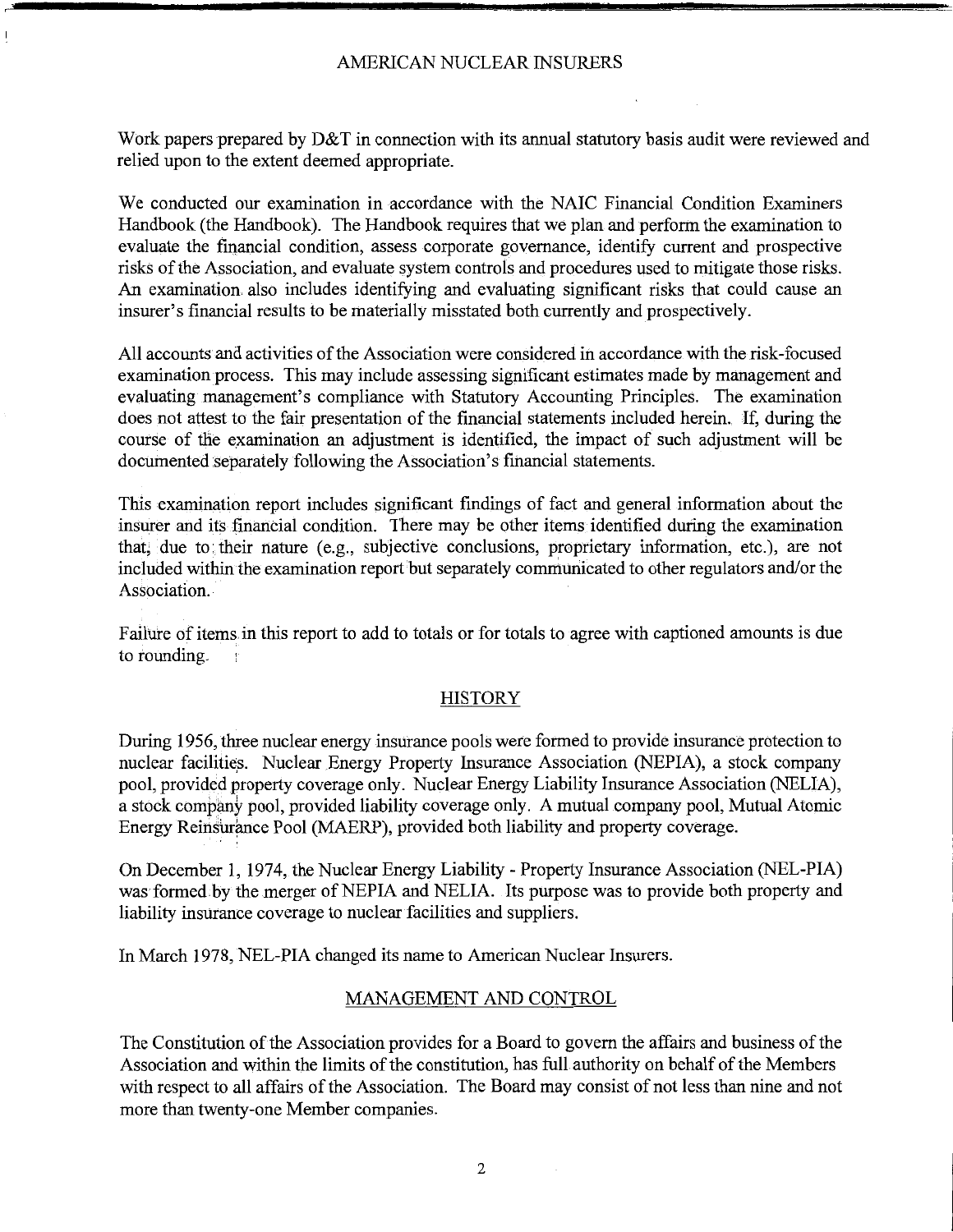Work papers prepared by D&T in connection with its annual statutory basis audit were reviewed and relied upon to the extent deemed appropriate.

We conducted our examination in accordance with the NAIC Financial Condition Examiners Handbook (the Handbook). The Handbook requires that we plan and perform the examination to evaluate the financial condition, assess corporate governance, identify current and prospective risks ofthe Association, and evaluate system controls and procedures used to mitigate those risks. An examination also includes identifying and evaluating significant risks that could cause an insurer's financial results to be materially misstated both currently and prospectively.

All accounts and activities of the Association were considered in accordance with the risk-focused examination process. This may include assessing significant estimates made by management and evaluating management's compliance with Statutory Accounting Principles. The examination does not attest to the fair presentation of the financial statements included herein. If, during the course of the examination an adjustment is identified, the impact of such adjustment will be documented separately following the Association's financial statements.

This examination report includes significant findings of fact and general information about the insurer and its financial condition. There may be other items identified during the examination that, due to their nature (e.g., subjective conclusions, proprietary information, etc.), are not included within the examination report but separately communicated to other regulators and/or the Association.

Failure of items. in this report to add to totals or for totals to agree with captioned amounts is due to rounding.

# **HISTORY**

During 1956, three nuclear energy insurance pools were formed to provide insurance protection to nuclear facilities. Nuclear Energy Property Insurance Association (NEPIA), a stock company pool, provided property coverage only. Nuclear Energy Liability Insurance Association (NELIA), a stock company pool, provided liability coverage only. A mutual company pool, Mutual Atomic Energy Reinsurance Pool (MAERP), provided both liability and property coverage.

On December 1, 1974, the Nuclear Energy Liability - Property Insurance Association (NEL-PIA) was formed by the merger of NEPIA and NELIA. Its purpose was to provide both property and liability insurance coverage to nuclear facilities and suppliers.

In March 1978, NEL-PIA changed its name to American Nuclear Insurers.

# MANAGEMENT AND CONTROL

The Constitution of the Association provides for a Board to govern the affairs and business of the Association and within the limits of the constitution, has full authority on behalf of the Members with respect to all affairs of the Association. The Board may consist of not less than nine and not more than twenty-one Member companies.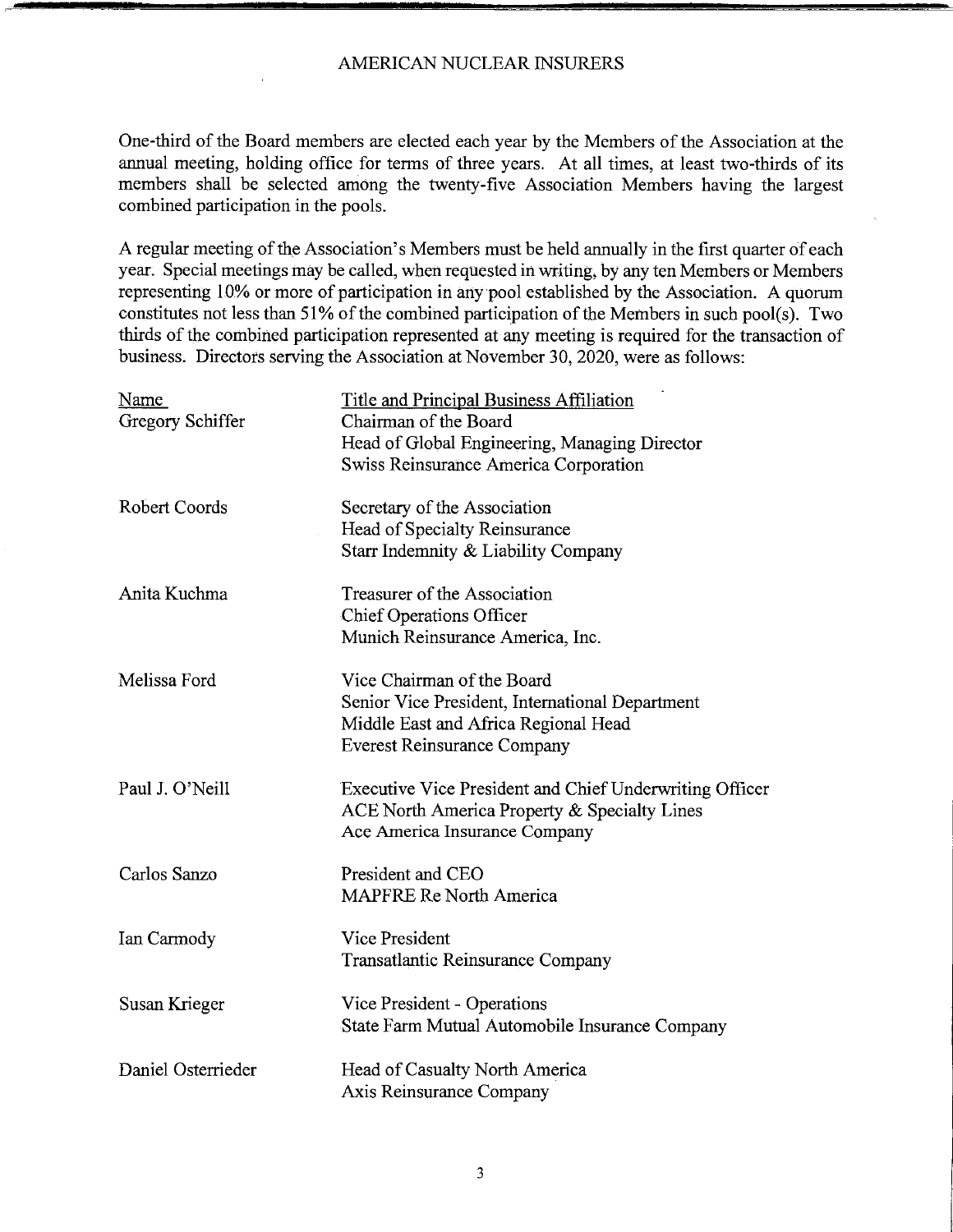One-third of the Board members are elected each year by the Members of the Association at the annual meeting, holding office for terms of three years. At all times, at least two-thirds of its members shall be selected among the twenty-five Association Members having the largest combined participation in the pools.

A regular meeting of the Association's Members must be held annually in the first quarter of each year. Special meetings may be called, when requested in writing, by any ten Members or Members representing 10% or more of participation in any pool established by the Association. A quorum constitutes not less than 51% of the combined participation of the Members in such pool(s). Two thirds of the combined participation represented at any meeting is required for the transaction of business. Directors serving the Association at November 30, 2020, were as follows:

| Name<br>Gregory Schiffer | <b>Title and Principal Business Affiliation</b><br>Chairman of the Board |
|--------------------------|--------------------------------------------------------------------------|
|                          | Head of Global Engineering, Managing Director                            |
|                          | Swiss Reinsurance America Corporation                                    |
|                          |                                                                          |
| Robert Coords            | Secretary of the Association                                             |
|                          | Head of Specialty Reinsurance                                            |
|                          | Starr Indemnity & Liability Company                                      |
| Anita Kuchma             | Treasurer of the Association                                             |
|                          | <b>Chief Operations Officer</b>                                          |
|                          | Munich Reinsurance America, Inc.                                         |
| Melissa Ford             | Vice Chairman of the Board                                               |
|                          | Senior Vice President, International Department                          |
|                          | Middle East and Africa Regional Head                                     |
|                          | <b>Everest Reinsurance Company</b>                                       |
| Paul J. O'Neill          | Executive Vice President and Chief Underwriting Officer                  |
|                          | ACE North America Property & Specialty Lines                             |
|                          | Ace America Insurance Company                                            |
| Carlos Sanzo             | President and CEO                                                        |
|                          | <b>MAPFRE Re North America</b>                                           |
| Ian Carmody              | Vice President                                                           |
|                          | Transatlantic Reinsurance Company                                        |
| Susan Krieger            | Vice President - Operations                                              |
|                          | State Farm Mutual Automobile Insurance Company                           |
| Daniel Osterrieder       | Head of Casualty North America                                           |
|                          | Axis Reinsurance Company                                                 |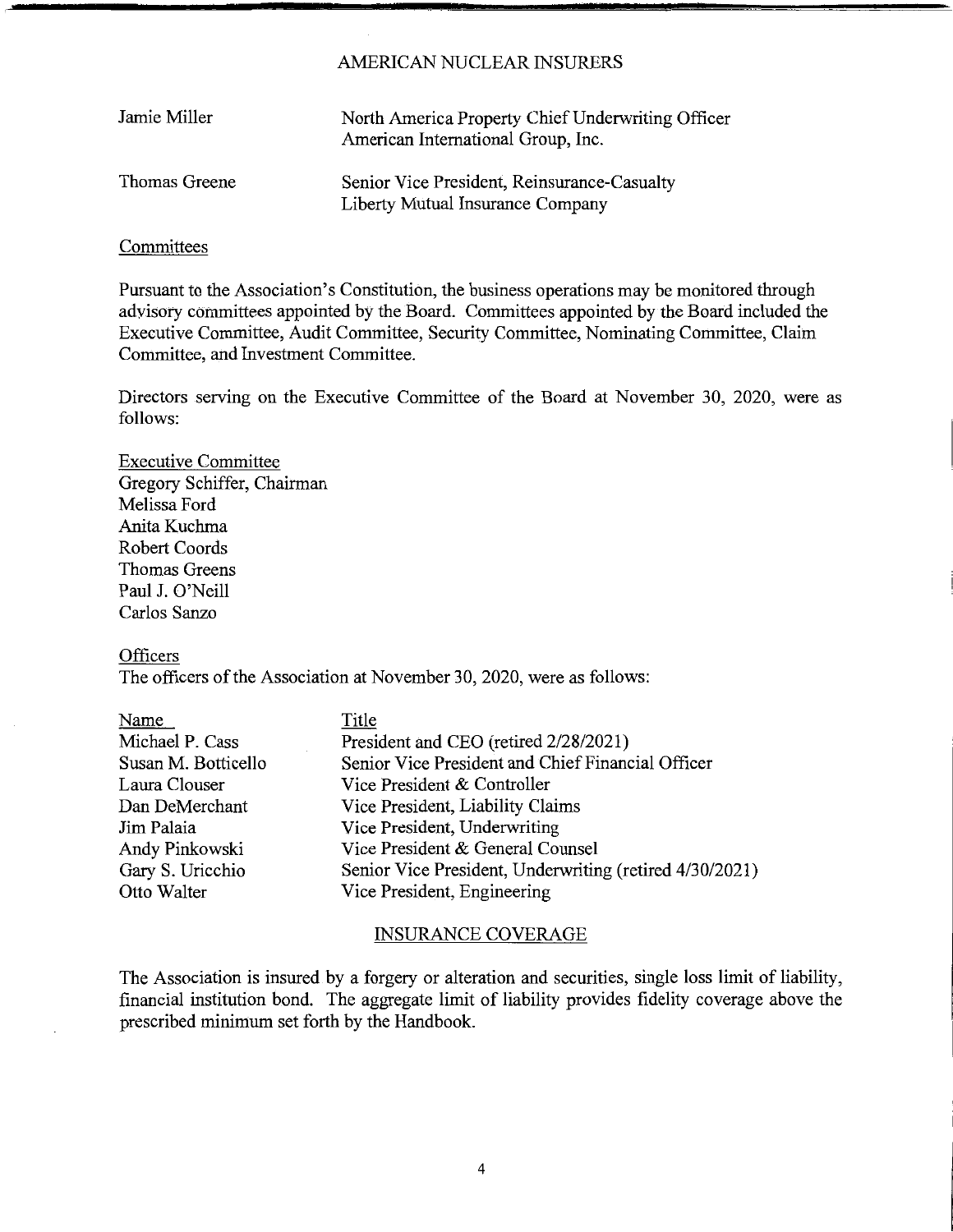| Jamie Miller  | North America Property Chief Underwriting Officer<br>American International Group, Inc. |
|---------------|-----------------------------------------------------------------------------------------|
| Thomas Greene | Senior Vice President, Reinsurance-Casualty<br>Liberty Mutual Insurance Company         |

### **Committees**

Pursuant to the Association's Constitution, the business operations may be monitored through advisory committees appointed by the Board. Committees appointed by the Board included the Executive Committee, Audit Committee, Security Committee, Nominating Committee, Claim Committee, and Investment Committee.

Directors serving on the Executive Committee of the Board at November 30, 2020, were as follows:

Executive Committee Gregory Schiffer, Chairman Melissa Ford Anita Kuchma Robert Coords Thomas Greens Paul J. O'Neill Carlos Sanzo

#### **Officers**

The officers of the Association at November 30, 2020, were as follows:

| Title                                                   |
|---------------------------------------------------------|
| President and CEO (retired 2/28/2021)                   |
| Senior Vice President and Chief Financial Officer       |
| Vice President & Controller                             |
| Vice President, Liability Claims                        |
| Vice President, Underwriting                            |
| Vice President & General Counsel                        |
| Senior Vice President, Underwriting (retired 4/30/2021) |
| Vice President, Engineering                             |
|                                                         |

### INSURANCE COVERAGE

The Association is insured by a forgery or alteration and securities, single loss limit of liability, financial institution bond. The aggregate limit of liability provides fidelity coverage above the prescribed minimum set forth by the Handbook.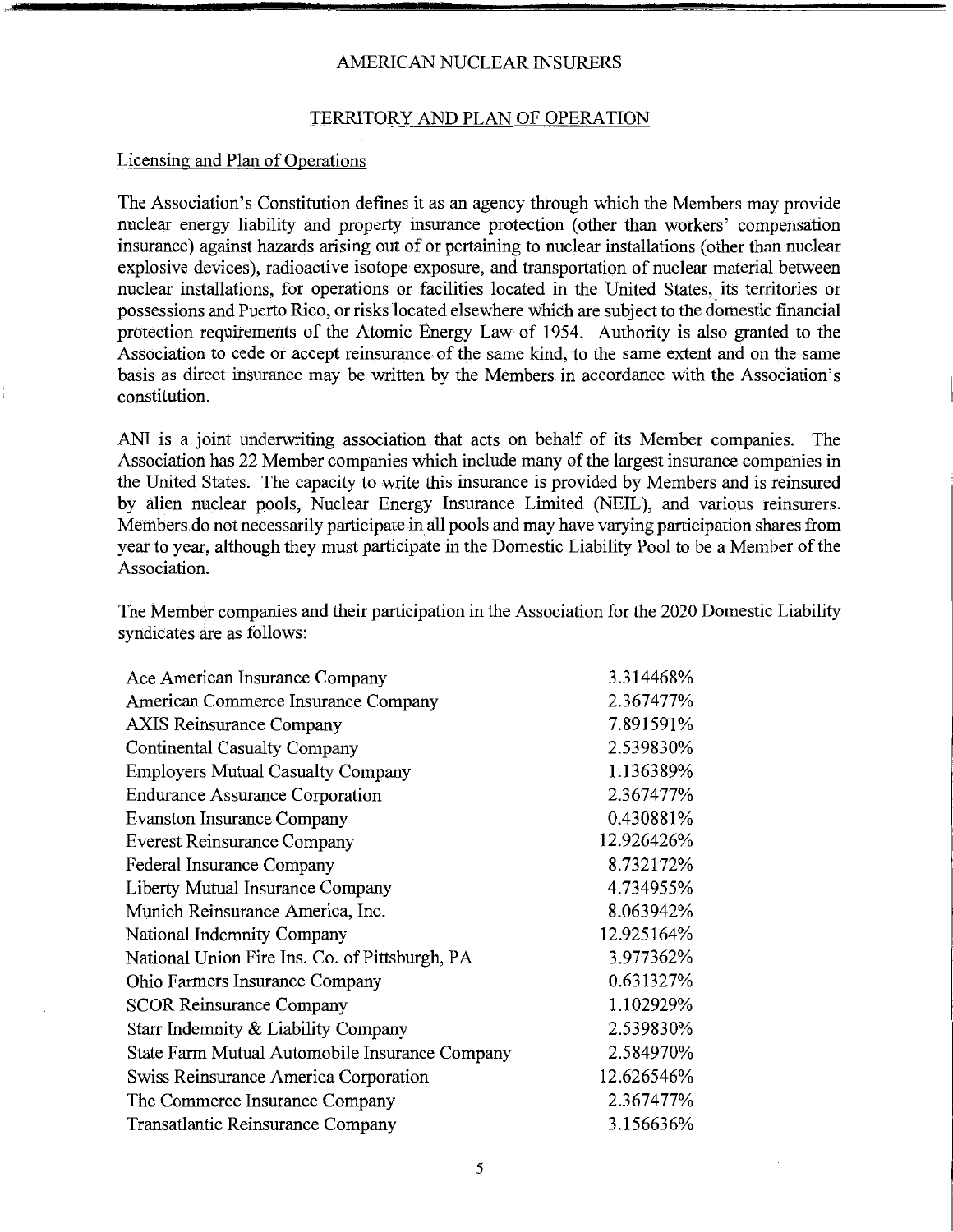#### TERRITORY AND PLAN OF OPERATION

#### Licensing and Plan of Operations

The Association's Constitution defines it as an agency through which the Members may provide nuclear energy liability and property insurance protection (other than workers' compensation insurance) against hazards arising out of or pertaining to nuclear installations ( other than nuclear explosive devices), radioactive isotope exposure, and transportation of nuclear material between nuclear installations, for operations or facilities located in the United States, its territories or possessions and Puerto Rico, or risks located elsewhere which are subject to the domestic financial protection requirements of the Atomic Energy Law of 1954. Authority is also granted to the Association to cede or accept reinsurance of the same kind, to the same extent and on the same basis as direct insurance may be written by the Members in accordance with the Association's constitution.

ANI is a joint underwriting association that acts on behalf of its Member companies. The Association has 22 Member companies which include many of the largest insurance companies in the United States. The capacity to write this insurance is provided by Members and is reinsured by alien nuclear pools, Nuclear Energy Insurance Limited (NEIL), and various reinsurers. [Members.do](https://Members.do) not necessarily participate in all pools and may have varying participation shares from year to year, although they must participate in the Domestic Liability Pool to be a Member of the Association.

The Member companies and their participation in the Association for the 2020 Domestic Liability syndicates are as follows:

| Ace American Insurance Company                 | 3.314468%  |
|------------------------------------------------|------------|
| American Commerce Insurance Company            | 2.367477%  |
| <b>AXIS Reinsurance Company</b>                | 7.891591%  |
| Continental Casualty Company                   | 2.539830%  |
| <b>Employers Mutual Casualty Company</b>       | 1.136389%  |
| <b>Endurance Assurance Corporation</b>         | 2.367477%  |
| <b>Evanston Insurance Company</b>              | 0.430881%  |
| <b>Everest Reinsurance Company</b>             | 12.926426% |
| Federal Insurance Company                      | 8.732172%  |
| Liberty Mutual Insurance Company               | 4.734955%  |
| Munich Reinsurance America, Inc.               | 8.063942%  |
| National Indemnity Company                     | 12.925164% |
| National Union Fire Ins. Co. of Pittsburgh, PA | 3.977362%  |
| Ohio Farmers Insurance Company                 | 0.631327%  |
| <b>SCOR Reinsurance Company</b>                | 1.102929%  |
| Starr Indemnity & Liability Company            | 2.539830%  |
| State Farm Mutual Automobile Insurance Company | 2.584970%  |
| Swiss Reinsurance America Corporation          | 12.626546% |
| The Commerce Insurance Company                 | 2.367477%  |
| Transatlantic Reinsurance Company              | 3.156636%  |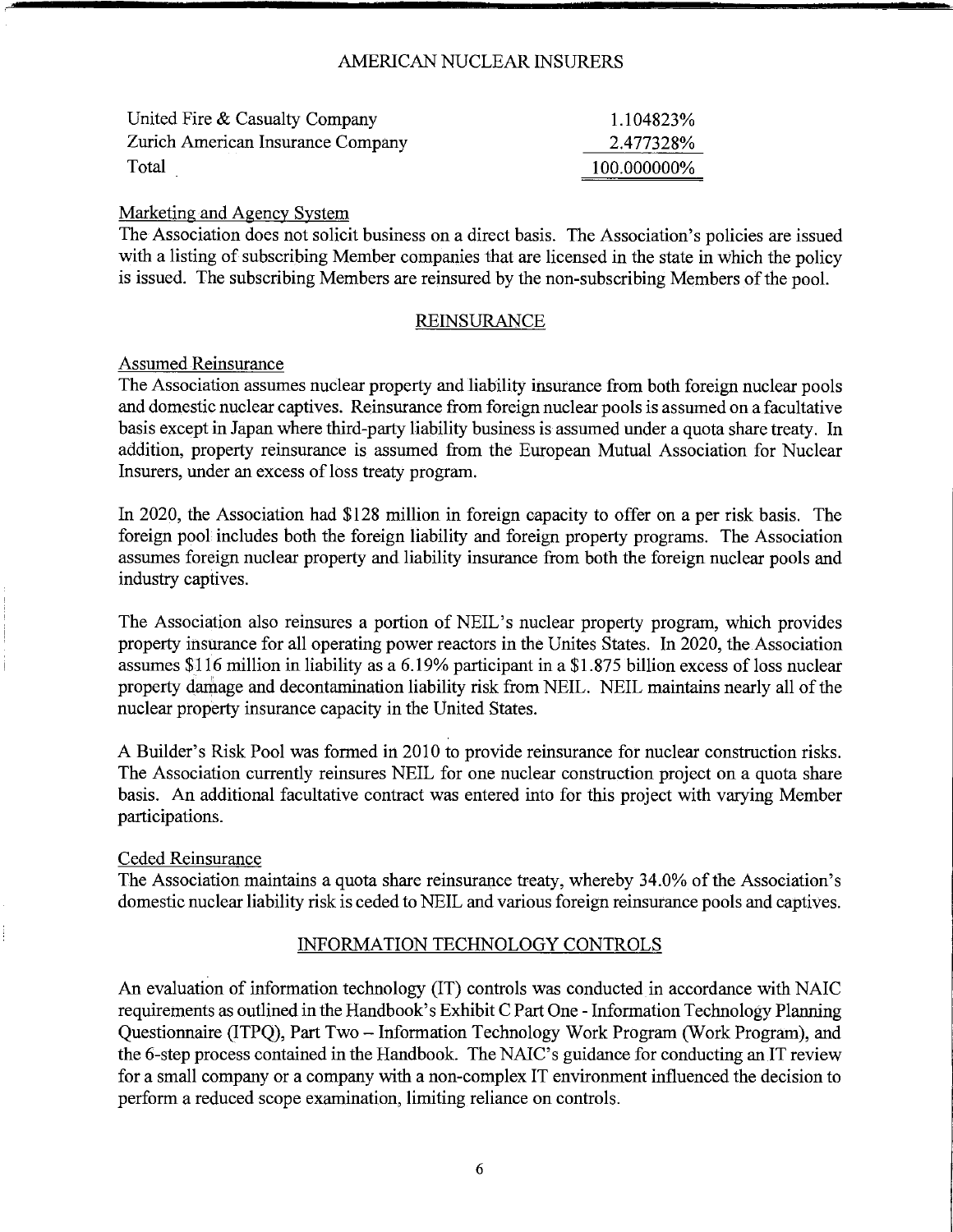| United Fire & Casualty Company    | 1.104823%   |
|-----------------------------------|-------------|
| Zurich American Insurance Company | 2.477328%   |
| Total                             | 100.000000% |

### Marketing and Agency System

The Association does not solicit business on a direct basis. The Association's policies are issued with a listing of subscribing Member companies that are licensed in the state in which the policy is issued. The subscribing Members are reinsured by the non-subscribing Members of the pool.

### REINSURANCE

#### Assumed Reinsurance

The Association assumes nuclear property and liability insurance from both foreign nuclear pools and domestic nuclear captives. Reinsurance from foreign nuclear pools is assumed on a facultative basis except in Japan where third-party liability business is assumed under a quota share treaty. In addition, property reinsurance is assumed from the European Mutual Association for Nuclear Insurers, under an excess of loss treaty program.

In 2020, the Association had \$128 million in foreign capacity to offer on a per risk basis. The foreign pool includes both the foreign liability and foreign property programs. The Association assumes foreign nuclear property and liability insurance from both the foreign nuclear pools and industry captives.

The Association also reinsures a portion of NEIL's nuclear property program, which provides property insurance for all operating power reactors in the Unites States. In 2020, the Association assumes \$116 million in liability as a 6.19% participant in a \$1.875 billion excess of loss nuclear property damage and decontamination liability risk from NEIL. NEIL maintains nearly all of the nuclear property insurance capacity in the United States.

A Builder's Risk Pool was formed in 2010 to provide reinsurance for nuclear construction risks. The Association currently reinsures NEIL for one nuclear construction project on a quota share basis. An additional facultative contract was entered into for this project with varying Member participations.

# Ceded Reinsurance

The Association maintains a quota share reinsurance treaty, whereby 34.0% of the Association's domestic nuclear liability risk is ceded to NEIL and various foreign reinsurance pools and captives.

# INFORMATION TECHNOLOGY CONTROLS

An evaluation of information technology (IT) controls was conducted in accordance with NAIC requirements as outlined in the Handbook's Exhibit C Part One - Information Technology Planning Questionnaire (ITPQ), Part Two - Information Technology Work Program (Work Program), and the 6-step process contained in the Handbook. The NAIC's guidance for conducting an IT review for a small company or a company with a non-complex IT environment influenced the decision to perform a reduced scope examination, limiting reliance on controls.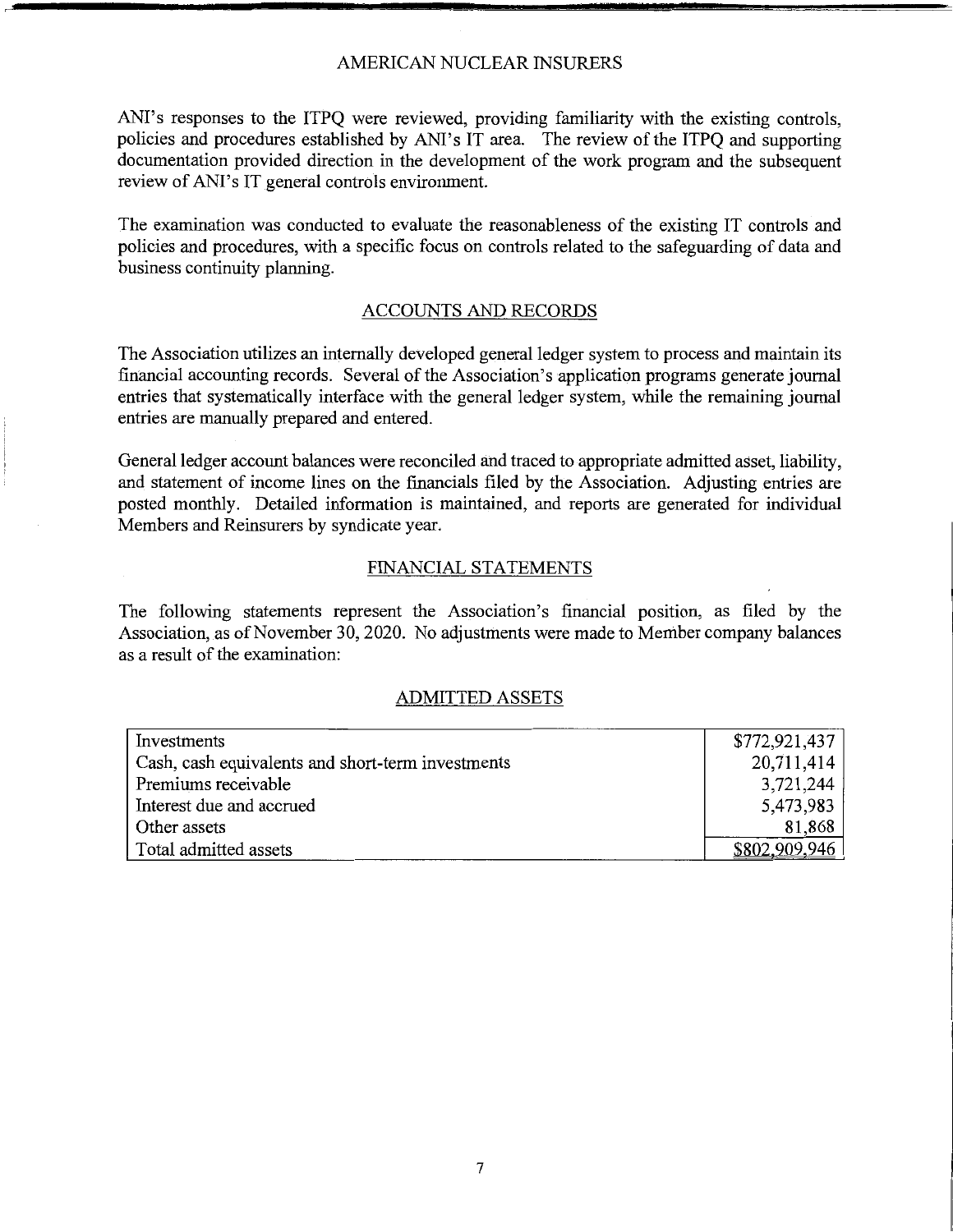ANI's responses to the ITPQ were reviewed, providing familiarity with the existing controls, policies and procedures established by ANI's IT area. The review of the ITPQ and supporting documentation provided direction in the development of the work program and the subsequent review of ANI's IT general controls environment.

The examination was conducted to evaluate the reasonableness of the existing IT controls and policies and procedures, with a specific focus on controls related to the safeguarding of data and business continuity planning.

### ACCOUNTS AND RECORDS

The Association utilizes an internally developed general ledger system to process and maintain its financial accounting records. Several of the Association's application programs generate journal entries that systematically interface with the general ledger system, while the remaining journal entries are manually prepared and entered.

General ledger account balances were reconciled and traced to appropriate admitted asset, liability, and statement of income lines on the financials filed by the Association. Adjusting entries are posted monthly. Detailed information is maintained, and reports are generated for individual Members and Reinsurers by syndicate year.

#### FINANCIAL STATEMENTS

The following statements represent the Association's financial position, as filed by the Association, as of November 30, 2020. No adjustments were made to Member company balances as a result of the examination:

### ADMITTED ASSETS

| Investments                                       | \$772,921,437 |
|---------------------------------------------------|---------------|
| Cash, cash equivalents and short-term investments | 20,711,414    |
| Premiums receivable                               | 3,721,244     |
| Interest due and accrued                          | 5,473,983     |
| Other assets                                      | 81,868        |
| Total admitted assets                             |               |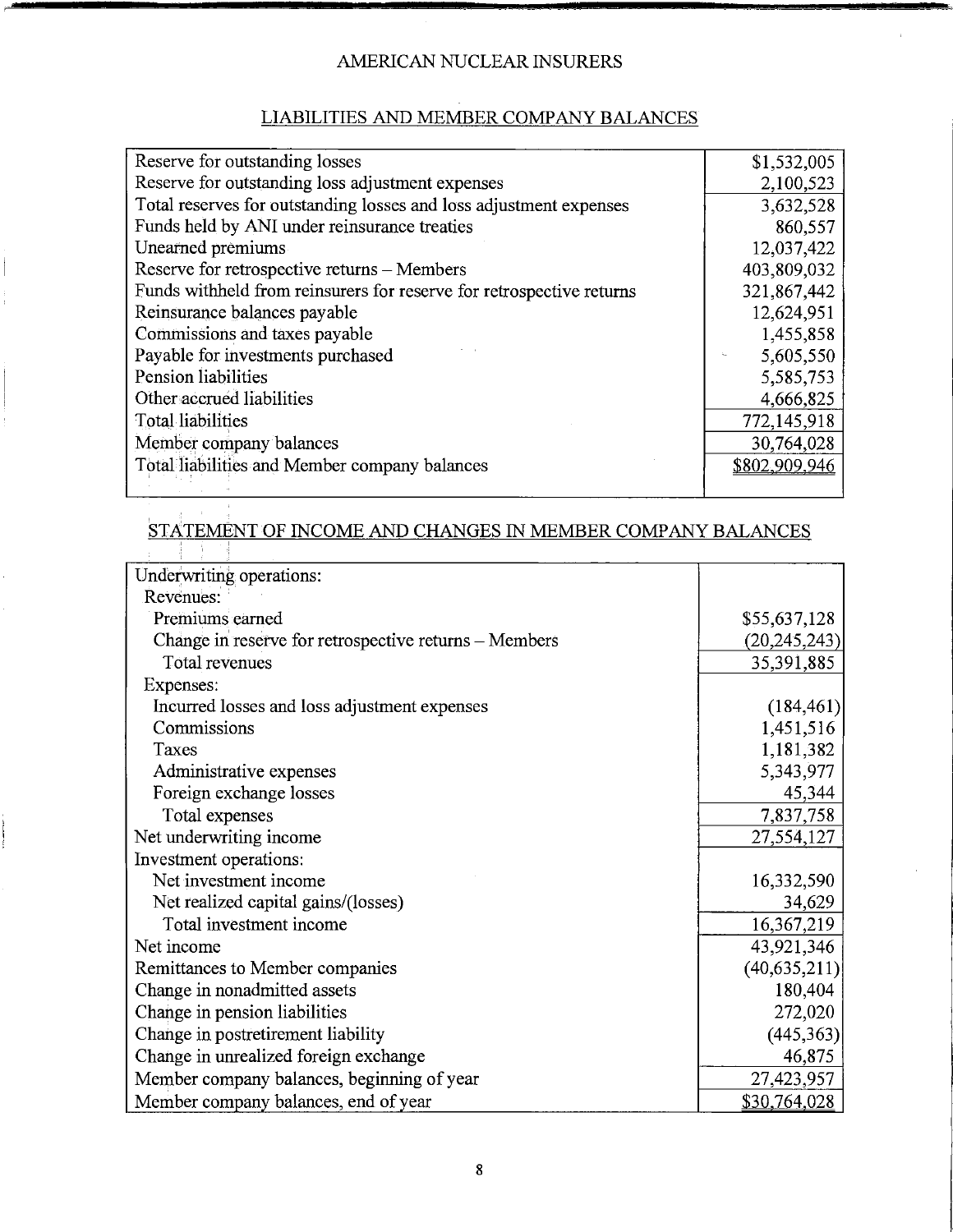# LIABILITIES AND MEMBER COMPANY BALANCES

| Reserve for outstanding losses                                       | \$1,532,005   |
|----------------------------------------------------------------------|---------------|
| Reserve for outstanding loss adjustment expenses                     | 2,100,523     |
| Total reserves for outstanding losses and loss adjustment expenses   | 3,632,528     |
| Funds held by ANI under reinsurance treaties                         | 860,557       |
| Unearned premiums                                                    | 12,037,422    |
| Reserve for retrospective returns - Members                          | 403,809,032   |
| Funds withheld from reinsurers for reserve for retrospective returns | 321,867,442   |
| Reinsurance balances payable                                         | 12,624,951    |
| Commissions and taxes payable                                        | 1,455,858     |
| Payable for investments purchased                                    | 5,605,550     |
| Pension liabilities                                                  | 5,585,753     |
| Other accrued liabilities                                            | 4,666,825     |
| <b>Total liabilities</b>                                             | 772,145,918   |
| Member company balances                                              | 30,764,028    |
| Total liabilities and Member company balances                        | \$802,909,946 |
|                                                                      |               |

# $\overline{\text{STATEMENT OF INCOME} }$  AND CHANGES IN MEMBER COMPANY BALANCES

| Underwriting operations:                              |                |
|-------------------------------------------------------|----------------|
| Revenues:                                             |                |
| Premiums earned                                       | \$55,637,128   |
| Change in reserve for retrospective returns – Members | (20, 245, 243) |
| Total revenues                                        | 35,391,885     |
| Expenses:                                             |                |
| Incurred losses and loss adjustment expenses          | (184, 461)     |
| Commissions                                           | 1,451,516      |
| Taxes                                                 | 1,181,382      |
| Administrative expenses                               | 5,343,977      |
| Foreign exchange losses                               | 45,344         |
| Total expenses                                        | 7,837,758      |
| Net underwriting income                               | 27,554,127     |
| Investment operations:                                |                |
| Net investment income                                 | 16,332,590     |
| Net realized capital gains/(losses)                   | 34,629         |
| Total investment income                               | 16,367,219     |
| Net income                                            | 43,921,346     |
| Remittances to Member companies                       | (40, 635, 211) |
| Change in nonadmitted assets                          | 180,404        |
| Change in pension liabilities                         | 272,020        |
| Change in postretirement liability                    | (445, 363)     |
| Change in unrealized foreign exchange                 | 46,875         |
| Member company balances, beginning of year            | 27,423,957     |
| Member company balances, end of year                  | \$30,764,028   |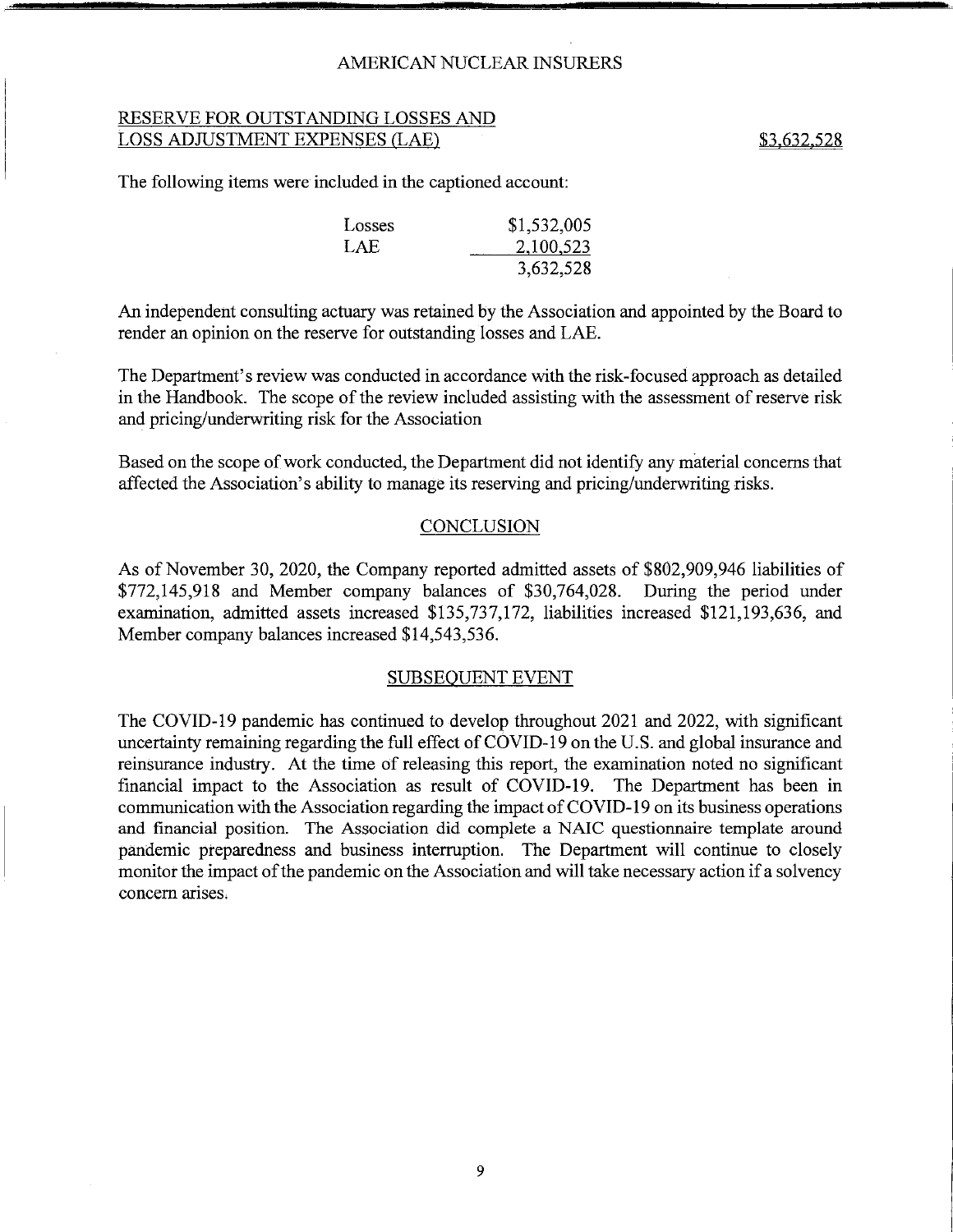## RESERVE FOR OUTSTANDING LOSSES AND LOSS ADJUSTMENT EXPENSES (LAE) \$3,632,528

The following items were included in the captioned account:

| Losses | \$1,532,005 |
|--------|-------------|
| LAE    | 2,100,523   |
|        | 3,632,528   |

An independent consulting actuary was retained by the Association and appointed by the Board to render an opinion on the reserve for outstanding losses and LAE.

The Department's review was conducted in accordance with the risk-focused approach as detailed in the Handbook. The scope of the review included assisting with the assessment of reserve risk and pricing/underwriting risk for the Association

Based on the scope of work conducted, the Department did not identify any material concerns that affected the Association's ability to manage its reserving and pricing/underwriting risks.

#### **CONCLUSION**

As of November 30, 2020, the Company reported admitted assets of \$802,909,946 liabilities of \$772,145,918 and Member company balances of \$30,764,028. During the period under examination, admitted assets increased \$135,737,172, liabilities increased \$121,193,636, and Member company balances increased \$14,543,536.

#### SUBSEQUENT EVENT

The COVID-19 pandemic has continued to develop throughout 2021 and 2022, with significant uncertainty remaining regarding the full effect of COVID-19 on the U.S. and global insurance and reinsurance industry. At the time of releasing this report, the examination noted no significant financial impact to the Association as result of COVID-19. The Department has been in communication with the Association regarding the impact of COVID-19 on its business operations and financial position. The Association did complete a NAlC questionnaire template around pandemic preparedness and business interruption. The Department will continue to closely monitor the impact of the pandemic on the Association and will take necessary action if a solvency concern arises.